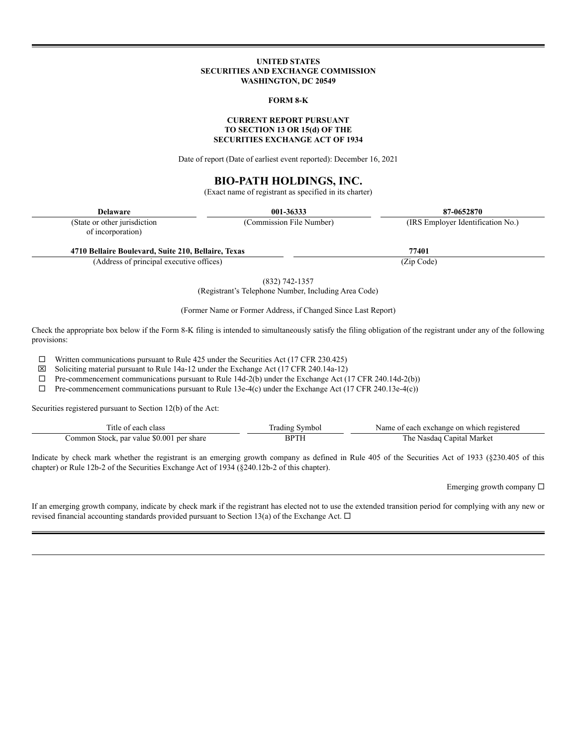#### **UNITED STATES SECURITIES AND EXCHANGE COMMISSION WASHINGTON, DC 20549**

#### **FORM 8-K**

### **CURRENT REPORT PURSUANT TO SECTION 13 OR 15(d) OF THE SECURITIES EXCHANGE ACT OF 1934**

Date of report (Date of earliest event reported): December 16, 2021

# **BIO-PATH HOLDINGS, INC.**

(Exact name of registrant as specified in its charter)

(State or other jurisdiction of incorporation)

**Delaware 001-36333 87-0652870** (Commission File Number) (IRS Employer Identification No.)

**4710 Bellaire Boulevard, Suite 210, Bellaire, Texas 77401**

(Address of principal executive offices) (Zip Code)

(832) 742-1357 (Registrant's Telephone Number, Including Area Code)

(Former Name or Former Address, if Changed Since Last Report)

Check the appropriate box below if the Form 8-K filing is intended to simultaneously satisfy the filing obligation of the registrant under any of the following provisions:

 $\Box$  Written communications pursuant to Rule 425 under the Securities Act (17 CFR 230.425)

 $\boxtimes$  Soliciting material pursuant to Rule 14a-12 under the Exchange Act (17 CFR 240.14a-12)

 $\Box$  Pre-commencement communications pursuant to Rule 13e-4(c) under the Exchange Act (17 CFR 240.13e-4(c))

| litk<br>clas                                     |    | Name<br>exchange<br>$\alpha$ n<br>which |
|--------------------------------------------------|----|-----------------------------------------|
| \$0.00<br>-value<br>`∩mr<br>nar<br>shar<br>.tock | BP | Market<br>h<br>anıta<br>sdao            |

Indicate by check mark whether the registrant is an emerging growth company as defined in Rule 405 of the Securities Act of 1933 (§230.405 of this chapter) or Rule 12b-2 of the Securities Exchange Act of 1934 (§240.12b-2 of this chapter).

Emerging growth company  $\square$ 

If an emerging growth company, indicate by check mark if the registrant has elected not to use the extended transition period for complying with any new or revised financial accounting standards provided pursuant to Section 13(a) of the Exchange Act.  $\Box$ 

 $\Box$  Pre-commencement communications pursuant to Rule 14d-2(b) under the Exchange Act (17 CFR 240.14d-2(b))

Securities registered pursuant to Section 12(b) of the Act: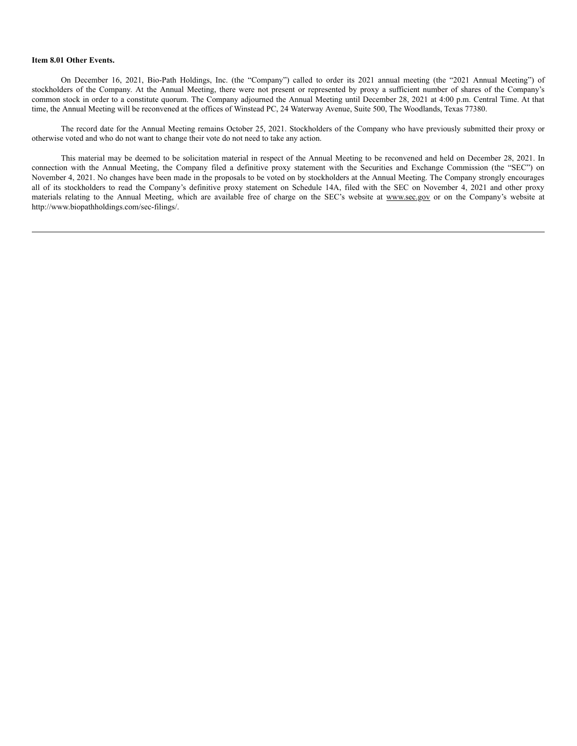#### **Item 8.01 Other Events.**

On December 16, 2021, Bio-Path Holdings, Inc. (the "Company") called to order its 2021 annual meeting (the "2021 Annual Meeting") of stockholders of the Company. At the Annual Meeting, there were not present or represented by proxy a sufficient number of shares of the Company's common stock in order to a constitute quorum. The Company adjourned the Annual Meeting until December 28, 2021 at 4:00 p.m. Central Time. At that time, the Annual Meeting will be reconvened at the offices of Winstead PC, 24 Waterway Avenue, Suite 500, The Woodlands, Texas 77380.

The record date for the Annual Meeting remains October 25, 2021. Stockholders of the Company who have previously submitted their proxy or otherwise voted and who do not want to change their vote do not need to take any action.

This material may be deemed to be solicitation material in respect of the Annual Meeting to be reconvened and held on December 28, 2021. In connection with the Annual Meeting, the Company filed a definitive proxy statement with the Securities and Exchange Commission (the "SEC") on November 4, 2021. No changes have been made in the proposals to be voted on by stockholders at the Annual Meeting. The Company strongly encourages all of its stockholders to read the Company's definitive proxy statement on Schedule 14A, filed with the SEC on November 4, 2021 and other proxy materials relating to the Annual Meeting, which are available free of charge on the SEC's website at www.sec.gov or on the Company's website at http://www.biopathholdings.com/sec-filings/.